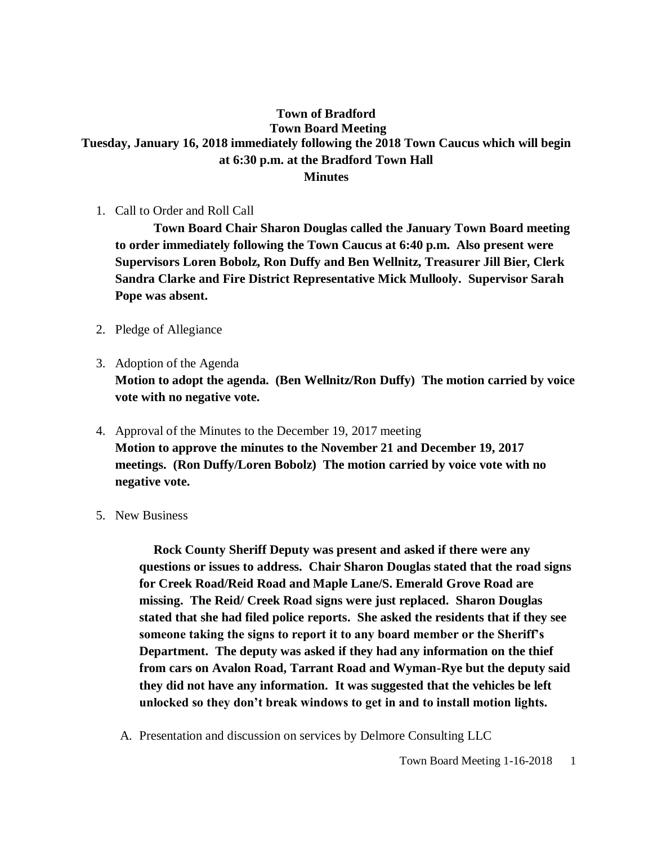## **Town of Bradford Town Board Meeting Tuesday, January 16, 2018 immediately following the 2018 Town Caucus which will begin at 6:30 p.m. at the Bradford Town Hall Minutes**

1. Call to Order and Roll Call

**Town Board Chair Sharon Douglas called the January Town Board meeting to order immediately following the Town Caucus at 6:40 p.m. Also present were Supervisors Loren Bobolz, Ron Duffy and Ben Wellnitz, Treasurer Jill Bier, Clerk Sandra Clarke and Fire District Representative Mick Mullooly. Supervisor Sarah Pope was absent.** 

- 2. Pledge of Allegiance
- 3. Adoption of the Agenda

**Motion to adopt the agenda. (Ben Wellnitz/Ron Duffy) The motion carried by voice vote with no negative vote.**

- 4. Approval of the Minutes to the December 19, 2017 meeting **Motion to approve the minutes to the November 21 and December 19, 2017 meetings. (Ron Duffy/Loren Bobolz) The motion carried by voice vote with no negative vote.**
- 5. New Business

**Rock County Sheriff Deputy was present and asked if there were any questions or issues to address. Chair Sharon Douglas stated that the road signs for Creek Road/Reid Road and Maple Lane/S. Emerald Grove Road are missing. The Reid/ Creek Road signs were just replaced. Sharon Douglas stated that she had filed police reports. She asked the residents that if they see someone taking the signs to report it to any board member or the Sheriff's Department. The deputy was asked if they had any information on the thief from cars on Avalon Road, Tarrant Road and Wyman-Rye but the deputy said they did not have any information. It was suggested that the vehicles be left unlocked so they don't break windows to get in and to install motion lights.**

A. Presentation and discussion on services by Delmore Consulting LLC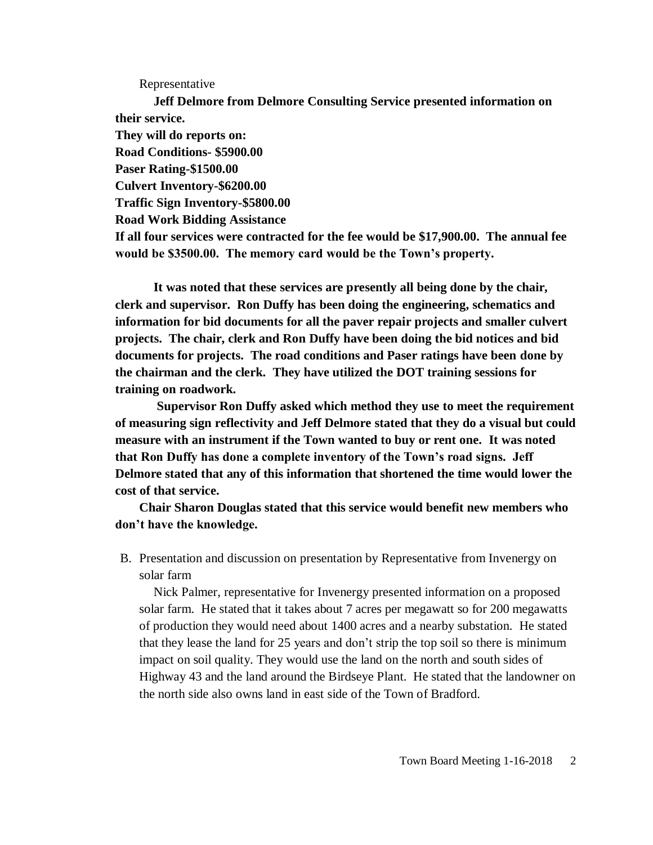Representative

**Jeff Delmore from Delmore Consulting Service presented information on their service.** 

**They will do reports on:** 

**Road Conditions- \$5900.00**

**Paser Rating-\$1500.00**

**Culvert Inventory-\$6200.00**

**Traffic Sign Inventory-\$5800.00**

**Road Work Bidding Assistance**

**If all four services were contracted for the fee would be \$17,900.00. The annual fee would be \$3500.00. The memory card would be the Town's property.**

**It was noted that these services are presently all being done by the chair, clerk and supervisor. Ron Duffy has been doing the engineering, schematics and information for bid documents for all the paver repair projects and smaller culvert projects. The chair, clerk and Ron Duffy have been doing the bid notices and bid documents for projects. The road conditions and Paser ratings have been done by the chairman and the clerk. They have utilized the DOT training sessions for training on roadwork.**

**Supervisor Ron Duffy asked which method they use to meet the requirement of measuring sign reflectivity and Jeff Delmore stated that they do a visual but could measure with an instrument if the Town wanted to buy or rent one. It was noted that Ron Duffy has done a complete inventory of the Town's road signs. Jeff Delmore stated that any of this information that shortened the time would lower the cost of that service.**

**Chair Sharon Douglas stated that this service would benefit new members who don't have the knowledge.**

B. Presentation and discussion on presentation by Representative from Invenergy on solar farm

Nick Palmer, representative for Invenergy presented information on a proposed solar farm. He stated that it takes about 7 acres per megawatt so for 200 megawatts of production they would need about 1400 acres and a nearby substation. He stated that they lease the land for 25 years and don't strip the top soil so there is minimum impact on soil quality. They would use the land on the north and south sides of Highway 43 and the land around the Birdseye Plant. He stated that the landowner on the north side also owns land in east side of the Town of Bradford.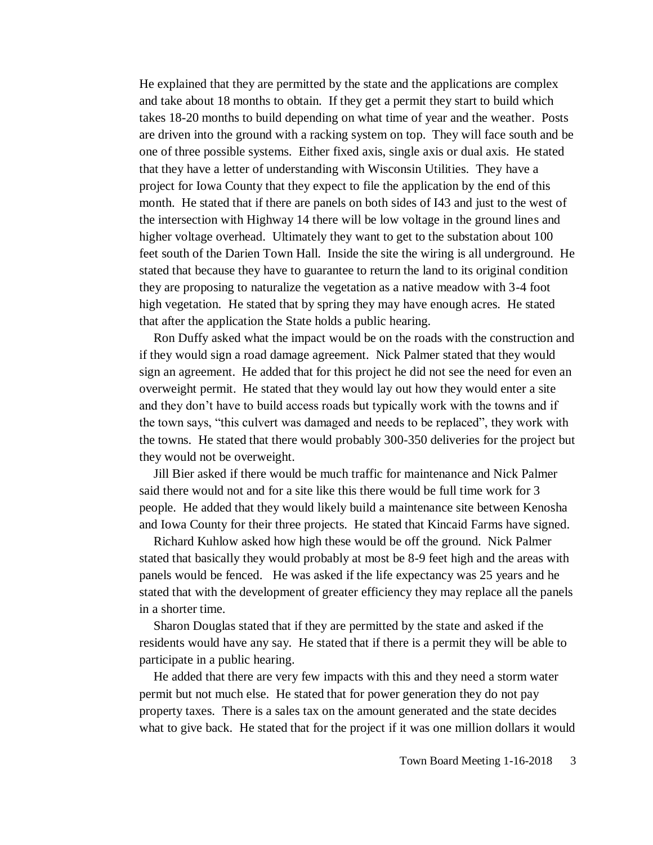He explained that they are permitted by the state and the applications are complex and take about 18 months to obtain. If they get a permit they start to build which takes 18-20 months to build depending on what time of year and the weather. Posts are driven into the ground with a racking system on top. They will face south and be one of three possible systems. Either fixed axis, single axis or dual axis. He stated that they have a letter of understanding with Wisconsin Utilities. They have a project for Iowa County that they expect to file the application by the end of this month. He stated that if there are panels on both sides of I43 and just to the west of the intersection with Highway 14 there will be low voltage in the ground lines and higher voltage overhead. Ultimately they want to get to the substation about 100 feet south of the Darien Town Hall. Inside the site the wiring is all underground. He stated that because they have to guarantee to return the land to its original condition they are proposing to naturalize the vegetation as a native meadow with 3-4 foot high vegetation. He stated that by spring they may have enough acres. He stated that after the application the State holds a public hearing.

Ron Duffy asked what the impact would be on the roads with the construction and if they would sign a road damage agreement. Nick Palmer stated that they would sign an agreement. He added that for this project he did not see the need for even an overweight permit. He stated that they would lay out how they would enter a site and they don't have to build access roads but typically work with the towns and if the town says, "this culvert was damaged and needs to be replaced", they work with the towns. He stated that there would probably 300-350 deliveries for the project but they would not be overweight.

Jill Bier asked if there would be much traffic for maintenance and Nick Palmer said there would not and for a site like this there would be full time work for 3 people. He added that they would likely build a maintenance site between Kenosha and Iowa County for their three projects. He stated that Kincaid Farms have signed.

Richard Kuhlow asked how high these would be off the ground. Nick Palmer stated that basically they would probably at most be 8-9 feet high and the areas with panels would be fenced. He was asked if the life expectancy was 25 years and he stated that with the development of greater efficiency they may replace all the panels in a shorter time.

Sharon Douglas stated that if they are permitted by the state and asked if the residents would have any say. He stated that if there is a permit they will be able to participate in a public hearing.

He added that there are very few impacts with this and they need a storm water permit but not much else. He stated that for power generation they do not pay property taxes. There is a sales tax on the amount generated and the state decides what to give back. He stated that for the project if it was one million dollars it would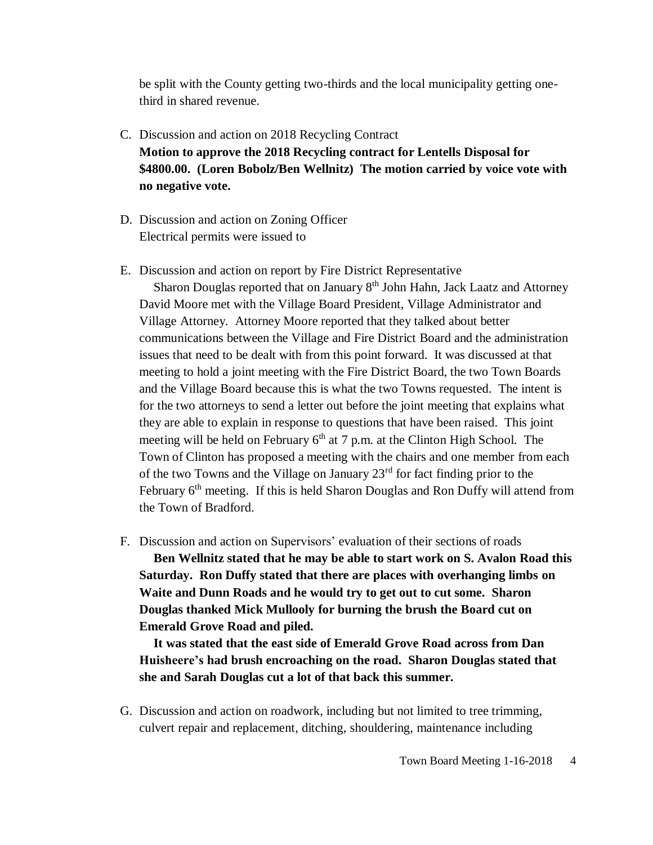be split with the County getting two-thirds and the local municipality getting onethird in shared revenue.

- C. Discussion and action on 2018 Recycling Contract **Motion to approve the 2018 Recycling contract for Lentells Disposal for \$4800.00. (Loren Bobolz/Ben Wellnitz) The motion carried by voice vote with no negative vote.**
- D. Discussion and action on Zoning Officer Electrical permits were issued to
- E. Discussion and action on report by Fire District Representative

Sharon Douglas reported that on January  $8<sup>th</sup>$  John Hahn, Jack Laatz and Attorney David Moore met with the Village Board President, Village Administrator and Village Attorney. Attorney Moore reported that they talked about better communications between the Village and Fire District Board and the administration issues that need to be dealt with from this point forward. It was discussed at that meeting to hold a joint meeting with the Fire District Board, the two Town Boards and the Village Board because this is what the two Towns requested. The intent is for the two attorneys to send a letter out before the joint meeting that explains what they are able to explain in response to questions that have been raised. This joint meeting will be held on February  $6<sup>th</sup>$  at 7 p.m. at the Clinton High School. The Town of Clinton has proposed a meeting with the chairs and one member from each of the two Towns and the Village on January  $23<sup>rd</sup>$  for fact finding prior to the February 6<sup>th</sup> meeting. If this is held Sharon Douglas and Ron Duffy will attend from the Town of Bradford.

F. Discussion and action on Supervisors' evaluation of their sections of roads **Ben Wellnitz stated that he may be able to start work on S. Avalon Road this Saturday. Ron Duffy stated that there are places with overhanging limbs on Waite and Dunn Roads and he would try to get out to cut some. Sharon Douglas thanked Mick Mullooly for burning the brush the Board cut on Emerald Grove Road and piled.** 

**It was stated that the east side of Emerald Grove Road across from Dan Huisheere's had brush encroaching on the road. Sharon Douglas stated that she and Sarah Douglas cut a lot of that back this summer.**

G. Discussion and action on roadwork, including but not limited to tree trimming, culvert repair and replacement, ditching, shouldering, maintenance including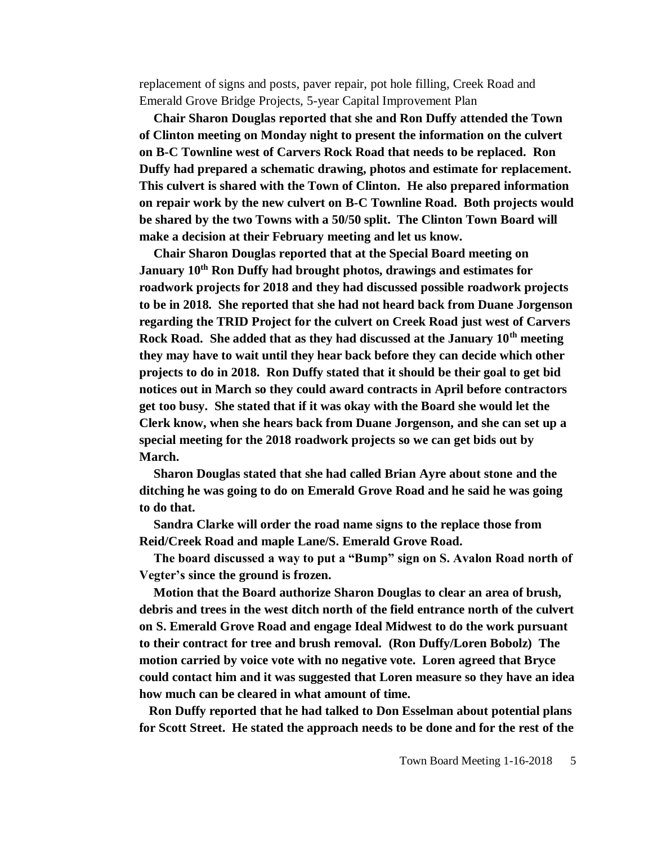replacement of signs and posts, paver repair, pot hole filling, Creek Road and Emerald Grove Bridge Projects, 5-year Capital Improvement Plan

**Chair Sharon Douglas reported that she and Ron Duffy attended the Town of Clinton meeting on Monday night to present the information on the culvert on B-C Townline west of Carvers Rock Road that needs to be replaced. Ron Duffy had prepared a schematic drawing, photos and estimate for replacement. This culvert is shared with the Town of Clinton. He also prepared information on repair work by the new culvert on B-C Townline Road. Both projects would be shared by the two Towns with a 50/50 split. The Clinton Town Board will make a decision at their February meeting and let us know.**

**Chair Sharon Douglas reported that at the Special Board meeting on January 10th Ron Duffy had brought photos, drawings and estimates for roadwork projects for 2018 and they had discussed possible roadwork projects to be in 2018. She reported that she had not heard back from Duane Jorgenson regarding the TRID Project for the culvert on Creek Road just west of Carvers Rock Road. She added that as they had discussed at the January 10th meeting they may have to wait until they hear back before they can decide which other projects to do in 2018. Ron Duffy stated that it should be their goal to get bid notices out in March so they could award contracts in April before contractors get too busy. She stated that if it was okay with the Board she would let the Clerk know, when she hears back from Duane Jorgenson, and she can set up a special meeting for the 2018 roadwork projects so we can get bids out by March.**

**Sharon Douglas stated that she had called Brian Ayre about stone and the ditching he was going to do on Emerald Grove Road and he said he was going to do that.** 

**Sandra Clarke will order the road name signs to the replace those from Reid/Creek Road and maple Lane/S. Emerald Grove Road.** 

**The board discussed a way to put a "Bump" sign on S. Avalon Road north of Vegter's since the ground is frozen.** 

**Motion that the Board authorize Sharon Douglas to clear an area of brush, debris and trees in the west ditch north of the field entrance north of the culvert on S. Emerald Grove Road and engage Ideal Midwest to do the work pursuant to their contract for tree and brush removal. (Ron Duffy/Loren Bobolz) The motion carried by voice vote with no negative vote. Loren agreed that Bryce could contact him and it was suggested that Loren measure so they have an idea how much can be cleared in what amount of time.**

**Ron Duffy reported that he had talked to Don Esselman about potential plans for Scott Street. He stated the approach needs to be done and for the rest of the**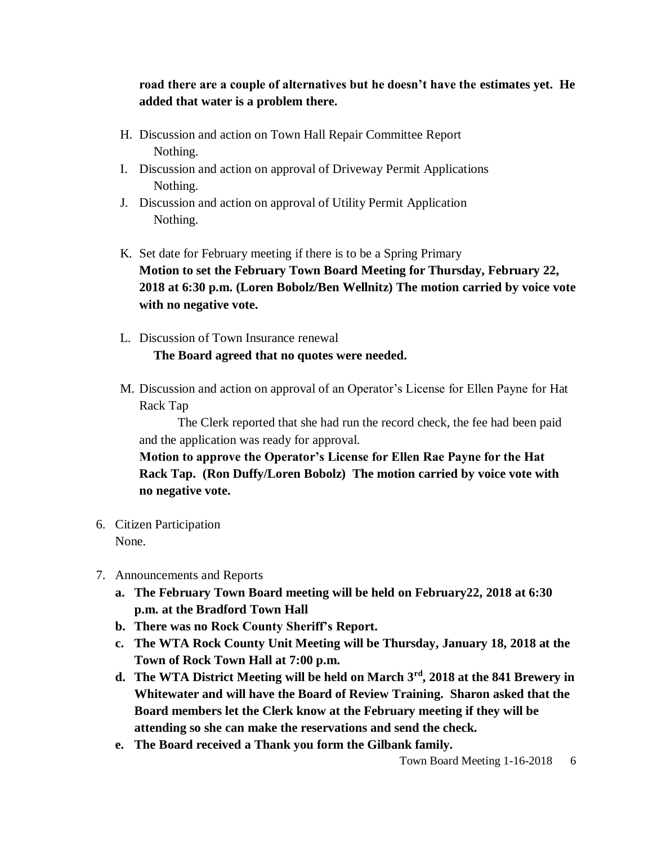**road there are a couple of alternatives but he doesn't have the estimates yet. He added that water is a problem there.**

- H. Discussion and action on Town Hall Repair Committee Report Nothing.
- I. Discussion and action on approval of Driveway Permit Applications Nothing.
- J. Discussion and action on approval of Utility Permit Application Nothing.
- K. Set date for February meeting if there is to be a Spring Primary **Motion to set the February Town Board Meeting for Thursday, February 22, 2018 at 6:30 p.m. (Loren Bobolz/Ben Wellnitz) The motion carried by voice vote with no negative vote.**
- L. Discussion of Town Insurance renewal **The Board agreed that no quotes were needed.**
- M. Discussion and action on approval of an Operator's License for Ellen Payne for Hat Rack Tap

The Clerk reported that she had run the record check, the fee had been paid and the application was ready for approval.

**Motion to approve the Operator's License for Ellen Rae Payne for the Hat Rack Tap. (Ron Duffy/Loren Bobolz) The motion carried by voice vote with no negative vote.**

- 6. Citizen Participation None.
- 7. Announcements and Reports
	- **a. The February Town Board meeting will be held on February22, 2018 at 6:30 p.m. at the Bradford Town Hall**
	- **b. There was no Rock County Sheriff's Report.**
	- **c. The WTA Rock County Unit Meeting will be Thursday, January 18, 2018 at the Town of Rock Town Hall at 7:00 p.m.**
	- **d. The WTA District Meeting will be held on March 3rd, 2018 at the 841 Brewery in Whitewater and will have the Board of Review Training. Sharon asked that the Board members let the Clerk know at the February meeting if they will be attending so she can make the reservations and send the check.**
	- **e. The Board received a Thank you form the Gilbank family.**